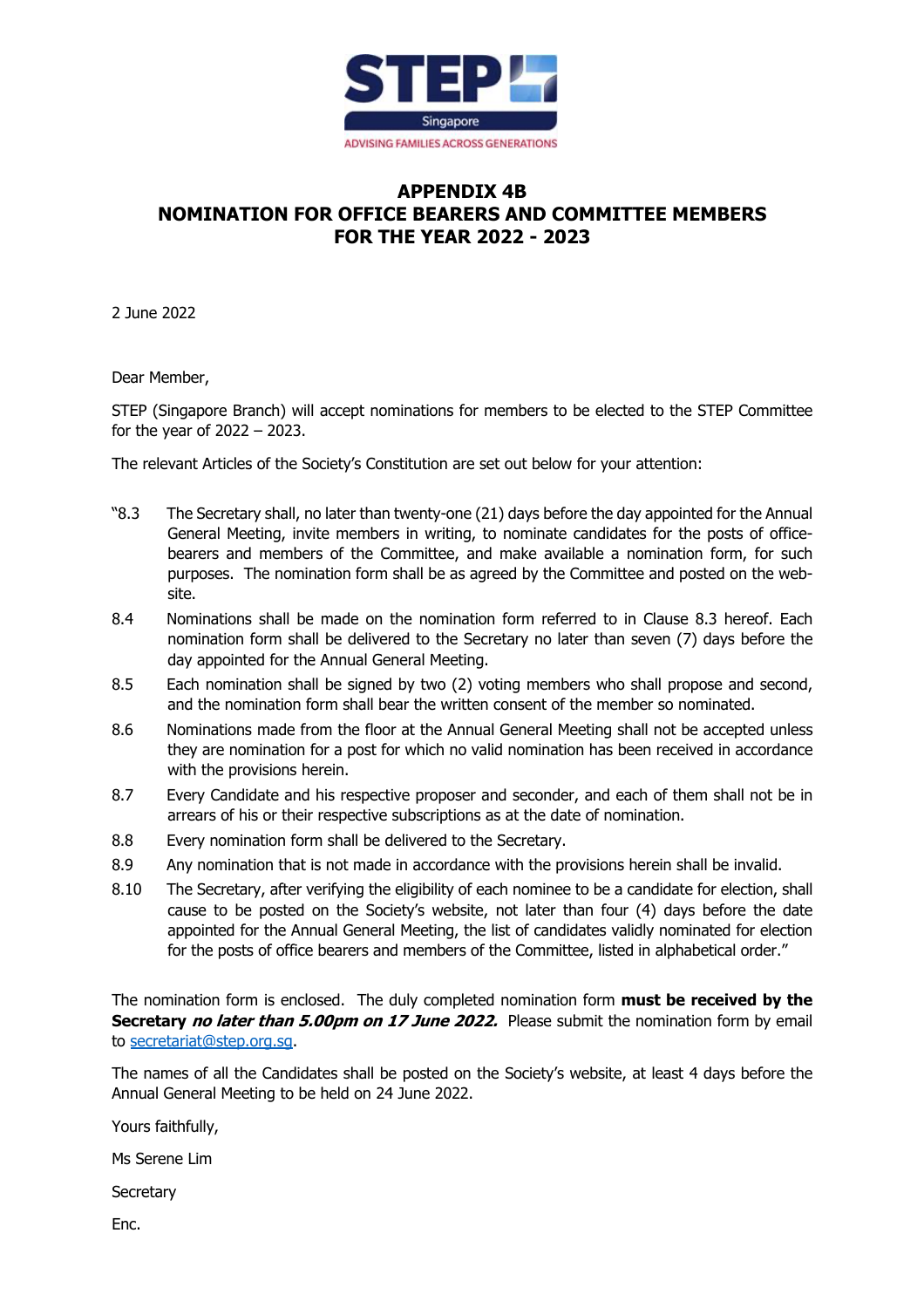

## **APPENDIX 4B NOMINATION FOR OFFICE BEARERS AND COMMITTEE MEMBERS FOR THE YEAR 2022 - 2023**

2 June 2022

Dear Member,

STEP (Singapore Branch) will accept nominations for members to be elected to the STEP Committee for the year of 2022 – 2023.

The relevant Articles of the Society's Constitution are set out below for your attention:

- "8.3 The Secretary shall, no later than twenty-one (21) days before the day appointed for the Annual General Meeting, invite members in writing, to nominate candidates for the posts of officebearers and members of the Committee, and make available a nomination form, for such purposes. The nomination form shall be as agreed by the Committee and posted on the website.
- 8.4 Nominations shall be made on the nomination form referred to in Clause 8.3 hereof. Each nomination form shall be delivered to the Secretary no later than seven (7) days before the day appointed for the Annual General Meeting.
- 8.5 Each nomination shall be signed by two (2) voting members who shall propose and second, and the nomination form shall bear the written consent of the member so nominated.
- 8.6 Nominations made from the floor at the Annual General Meeting shall not be accepted unless they are nomination for a post for which no valid nomination has been received in accordance with the provisions herein.
- 8.7 Every Candidate and his respective proposer and seconder, and each of them shall not be in arrears of his or their respective subscriptions as at the date of nomination.
- 8.8 Every nomination form shall be delivered to the Secretary.
- 8.9 Any nomination that is not made in accordance with the provisions herein shall be invalid.
- 8.10 The Secretary, after verifying the eligibility of each nominee to be a candidate for election, shall cause to be posted on the Society's website, not later than four (4) days before the date appointed for the Annual General Meeting, the list of candidates validly nominated for election for the posts of office bearers and members of the Committee, listed in alphabetical order."

The nomination form is enclosed. The duly completed nomination form **must be received by the Secretary no later than 5.00pm on 17 June 2022.** Please submit the nomination form by email to secretariat@step.org.sg.

The names of all the Candidates shall be posted on the Society's website, at least 4 days before the Annual General Meeting to be held on 24 June 2022.

Yours faithfully,

Ms Serene Lim

**Secretary** 

Enc.